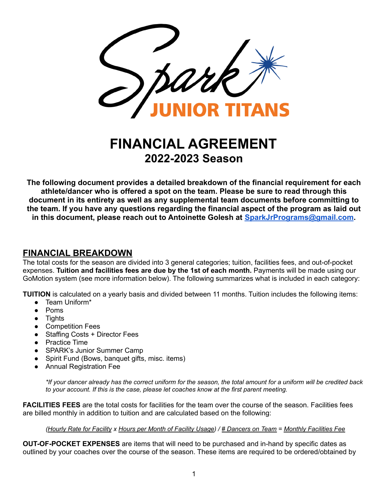

# **FINANCIAL AGREEMENT 2022-2023 Season**

**The following document provides a detailed breakdown of the financial requirement for each athlete/dancer who is offered a spot on the team. Please be sure to read through this document in its entirety as well as any supplemental team documents before committing to the team. If you have any questions regarding the financial aspect of the program as laid out in this document, please reach out to Antoinette Golesh at [SparkJrPrograms@gmail.com](mailto:SparkJrPrograms@gmail.com).**

#### **FINANCIAL BREAKDOWN**

The total costs for the season are divided into 3 general categories; tuition, facilities fees, and out-of-pocket expenses. **Tuition and facilities fees are due by the 1st of each month.** Payments will be made using our GoMotion system (see more information below). The following summarizes what is included in each category:

**TUITION** is calculated on a yearly basis and divided between 11 months. Tuition includes the following items:

- Team Uniform\*
- Poms
- Tights
- Competition Fees
- Staffing Costs + Director Fees
- Practice Time
- SPARK's Junior Summer Camp
- Spirit Fund (Bows, banquet gifts, misc. items)
- **Annual Registration Fee**

\*If your dancer already has the correct uniform for the season, the total amount for a uniform will be credited back *to your account. If this is the case, please let coaches know at the first parent meeting.*

**FACILITIES FEES** are the total costs for facilities for the team over the course of the season. Facilities fees are billed monthly in addition to tuition and are calculated based on the following:

(Hourly Rate for Facility x Hours per Month of Facility Usage) / # Dancers on Team = Monthly Facilities Fee

**OUT-OF-POCKET EXPENSES** are items that will need to be purchased and in-hand by specific dates as outlined by your coaches over the course of the season. These items are required to be ordered/obtained by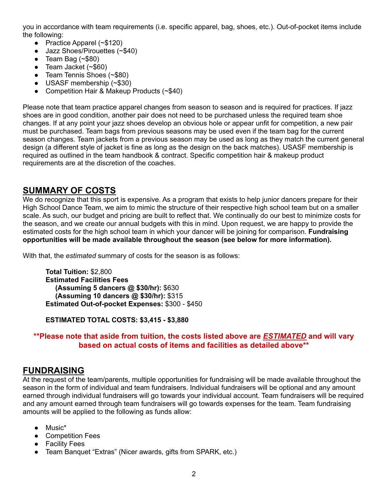you in accordance with team requirements (i.e. specific apparel, bag, shoes, etc.). Out-of-pocket items include the following:

- Practice Apparel (~\$120)
- Jazz Shoes/Pirouettes (~\$40)
- $\bullet$  Team Bag (~\$80)
- $\bullet$  Team Jacket (~\$60)
- Team Tennis Shoes (~\$80)
- USASF membership (~\$30)
- Competition Hair & Makeup Products (~\$40)

Please note that team practice apparel changes from season to season and is required for practices. If jazz shoes are in good condition, another pair does not need to be purchased unless the required team shoe changes. If at any point your jazz shoes develop an obvious hole or appear unfit for competition, a new pair must be purchased. Team bags from previous seasons may be used even if the team bag for the current season changes. Team jackets from a previous season may be used as long as they match the current general design (a different style of jacket is fine as long as the design on the back matches). USASF membership is required as outlined in the team handbook & contract. Specific competition hair & makeup product requirements are at the discretion of the coaches.

#### **SUMMARY OF COSTS**

We do recognize that this sport is expensive. As a program that exists to help junior dancers prepare for their High School Dance Team, we aim to mimic the structure of their respective high school team but on a smaller scale. As such, our budget and pricing are built to reflect that. We continually do our best to minimize costs for the season, and we create our annual budgets with this in mind. Upon request, we are happy to provide the estimated costs for the high school team in which your dancer will be joining for comparison. **Fundraising opportunities will be made available throughout the season (see below for more information).**

With that, the *estimated* summary of costs for the season is as follows:

**Total Tuition:** \$2,800 **Estimated Facilities Fees (Assuming 5 dancers @ \$30/hr):** \$630 **(Assuming 10 dancers @ \$30/hr):** \$315 **Estimated Out-of-pocket Expenses:** \$300 - \$450

**ESTIMATED TOTAL COSTS: \$3,415 - \$3,880**

#### **\*\*Please note that aside from tuition, the costs listed above are** *ESTIMATED* **and will vary based on actual costs of items and facilities as detailed above\*\***

#### **FUNDRAISING**

At the request of the team/parents, multiple opportunities for fundraising will be made available throughout the season in the form of individual and team fundraisers. Individual fundraisers will be optional and any amount earned through individual fundraisers will go towards your individual account. Team fundraisers will be required and any amount earned through team fundraisers will go towards expenses for the team. Team fundraising amounts will be applied to the following as funds allow:

- Music\*
- Competition Fees
- Facility Fees
- Team Banquet "Extras" (Nicer awards, gifts from SPARK, etc.)